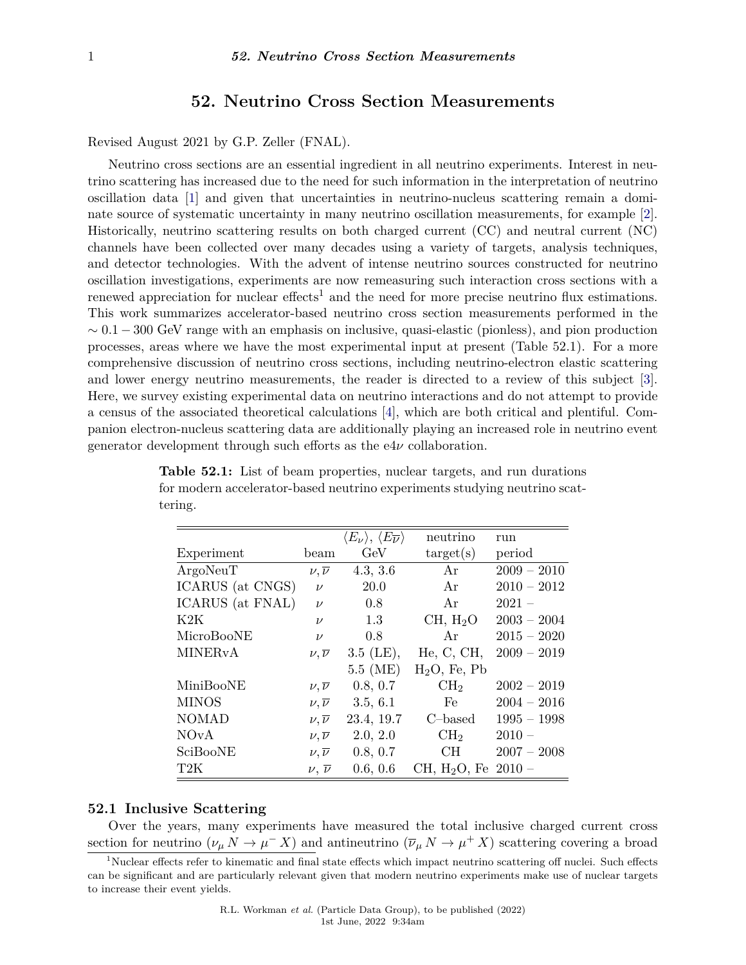# **52. Neutrino Cross Section Measurements**

Revised August 2021 by G.P. Zeller (FNAL).

Neutrino cross sections are an essential ingredient in all neutrino experiments. Interest in neutrino scattering has increased due to the need for such information in the interpretation of neutrino oscillation data [\[1\]](#page-5-0) and given that uncertainties in neutrino-nucleus scattering remain a dominate source of systematic uncertainty in many neutrino oscillation measurements, for example [\[2\]](#page-5-1). Historically, neutrino scattering results on both charged current (CC) and neutral current (NC) channels have been collected over many decades using a variety of targets, analysis techniques, and detector technologies. With the advent of intense neutrino sources constructed for neutrino oscillation investigations, experiments are now remeasuring such interaction cross sections with a renewed appreciation for nuclear effects<sup>[1](#page-0-0)</sup> and the need for more precise neutrino flux estimations. This work summarizes accelerator-based neutrino cross section measurements performed in the  $\sim 0.1 - 300$  GeV range with an emphasis on inclusive, quasi-elastic (pionless), and pion production processes, areas where we have the most experimental input at present (Table 52.1). For a more comprehensive discussion of neutrino cross sections, including neutrino-electron elastic scattering and lower energy neutrino measurements, the reader is directed to a review of this subject [\[3\]](#page-5-2). Here, we survey existing experimental data on neutrino interactions and do not attempt to provide a census of the associated theoretical calculations [\[4\]](#page-5-3), which are both critical and plentiful. Companion electron-nucleus scattering data are additionally playing an increased role in neutrino event generator development through such efforts as the e4*ν* collaboration.

|                           |                       | $\langle E_\nu \rangle,\,\langle E_{\overline{\nu}} \rangle$ | neutrino                 | run           |
|---------------------------|-----------------------|--------------------------------------------------------------|--------------------------|---------------|
| Experiment                | beam                  | GeV                                                          | $\text{target}(s)$       | period        |
| ArgoNeuT                  | $\nu, \overline{\nu}$ | 4.3, 3.6                                                     | Ar                       | $2009 - 2010$ |
| ICARUS (at CNGS)          | $\nu$                 | <b>20.0</b>                                                  | Ar                       | $2010 - 2012$ |
| ICARUS (at FNAL)          | $\nu$                 | 0.8                                                          | Ar                       | $2021 -$      |
| K2K                       | $\nu$                 | 1.3                                                          | CH, H <sub>2</sub> O     | $2003 - 2004$ |
| MicroBooNE                | $\nu$                 | 0.8                                                          | Ar                       | $2015 - 2020$ |
| <b>MINER<sub>v</sub>A</b> | $\nu, \overline{\nu}$ | $3.5$ (LE),                                                  | He, C, CH,               | $2009 - 2019$ |
|                           |                       | 5.5~(ME)                                                     | $H2O$ , Fe, Pb           |               |
| MiniBooNE                 | $\nu, \overline{\nu}$ | 0.8, 0.7                                                     | CH <sub>2</sub>          | $2002 - 2019$ |
| <b>MINOS</b>              | $\nu, \overline{\nu}$ | 3.5, 6.1                                                     | Fe                       | $2004 - 2016$ |
| <b>NOMAD</b>              | $\nu, \overline{\nu}$ | 23.4, 19.7                                                   | $C$ -based               | $1995 - 1998$ |
| <b>NOvA</b>               | $\nu, \overline{\nu}$ | 2.0, 2.0                                                     | CH <sub>2</sub>          | $2010 -$      |
| SciBooNE                  | $\nu, \overline{\nu}$ | 0.8, 0.7                                                     | CH                       | $2007 - 2008$ |
| T <sub>2</sub> K          | $\nu, \overline{\nu}$ | 0.6, 0.6                                                     | CH, H <sub>2</sub> O, Fe | $2010 -$      |

**Table 52.1:** List of beam properties, nuclear targets, and run durations for modern accelerator-based neutrino experiments studying neutrino scattering.

### **52.1 Inclusive Scattering**

Over the years, many experiments have measured the total inclusive charged current cross section for neutrino  $(\nu_{\mu} N \to \mu^- X)$  and antineutrino  $(\overline{\nu}_{\mu} N \to \mu^+ X)$  scattering covering a broad

<span id="page-0-0"></span><sup>&</sup>lt;sup>1</sup>Nuclear effects refer to kinematic and final state effects which impact neutrino scattering off nuclei. Such effects can be significant and are particularly relevant given that modern neutrino experiments make use of nuclear targets to increase their event yields.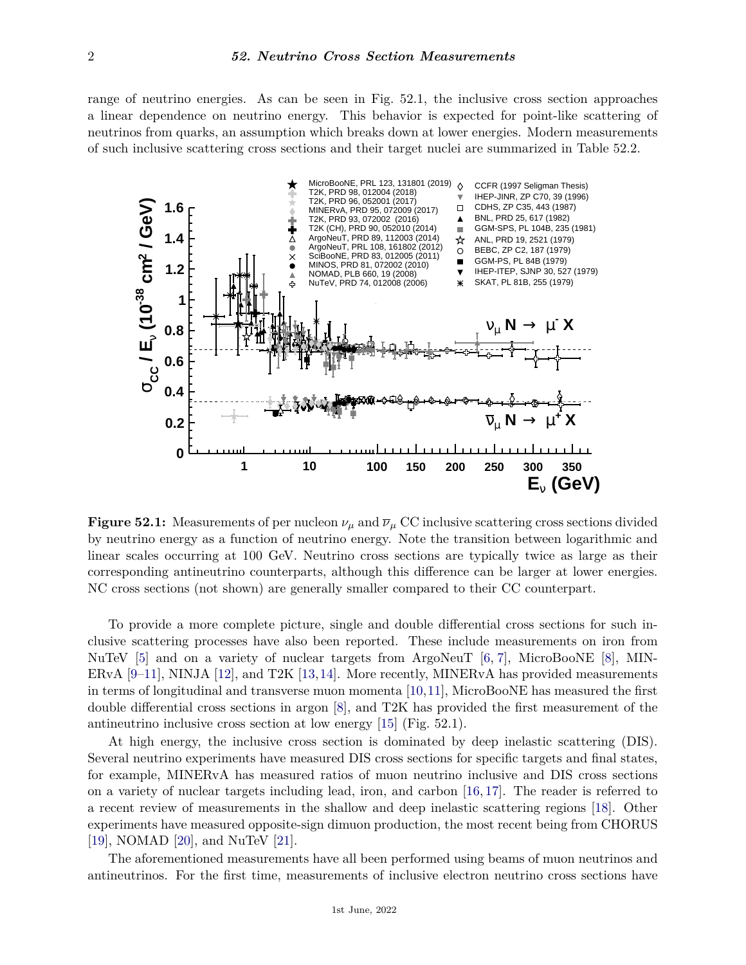range of neutrino energies. As can be seen in Fig. 52.1, the inclusive cross section approaches a linear dependence on neutrino energy. This behavior is expected for point-like scattering of neutrinos from quarks, an assumption which breaks down at lower energies. Modern measurements of such inclusive scattering cross sections and their target nuclei are summarized in Table 52.2.



**Figure 52.1:** Measurements of per nucleon  $\nu_\mu$  and  $\overline{\nu}_\mu$  CC inclusive scattering cross sections divided by neutrino energy as a function of neutrino energy. Note the transition between logarithmic and linear scales occurring at 100 GeV. Neutrino cross sections are typically twice as large as their corresponding antineutrino counterparts, although this difference can be larger at lower energies. NC cross sections (not shown) are generally smaller compared to their CC counterpart.

To provide a more complete picture, single and double differential cross sections for such inclusive scattering processes have also been reported. These include measurements on iron from NuTeV [\[5\]](#page-5-4) and on a variety of nuclear targets from ArgoNeuT [\[6,](#page-5-5) [7\]](#page-5-6), MicroBooNE [\[8\]](#page-5-7), MIN-ERvA  $[9-11]$  $[9-11]$ , NINJA  $[12]$ , and T2K  $[13,14]$  $[13,14]$ . More recently, MINERvA has provided measurements in terms of longitudinal and transverse muon momenta [\[10,](#page-6-5)[11\]](#page-6-1), MicroBooNE has measured the first double differential cross sections in argon [\[8\]](#page-5-7), and T2K has provided the first measurement of the antineutrino inclusive cross section at low energy [\[15\]](#page-6-6) (Fig. 52.1).

At high energy, the inclusive cross section is dominated by deep inelastic scattering (DIS). Several neutrino experiments have measured DIS cross sections for specific targets and final states, for example, MINERvA has measured ratios of muon neutrino inclusive and DIS cross sections on a variety of nuclear targets including lead, iron, and carbon [\[16,](#page-6-7) [17\]](#page-6-8). The reader is referred to a recent review of measurements in the shallow and deep inelastic scattering regions [\[18\]](#page-6-9). Other experiments have measured opposite-sign dimuon production, the most recent being from CHORUS [\[19\]](#page-6-10), NOMAD [\[20\]](#page-6-11), and NuTeV [\[21\]](#page-6-12).

The aforementioned measurements have all been performed using beams of muon neutrinos and antineutrinos. For the first time, measurements of inclusive electron neutrino cross sections have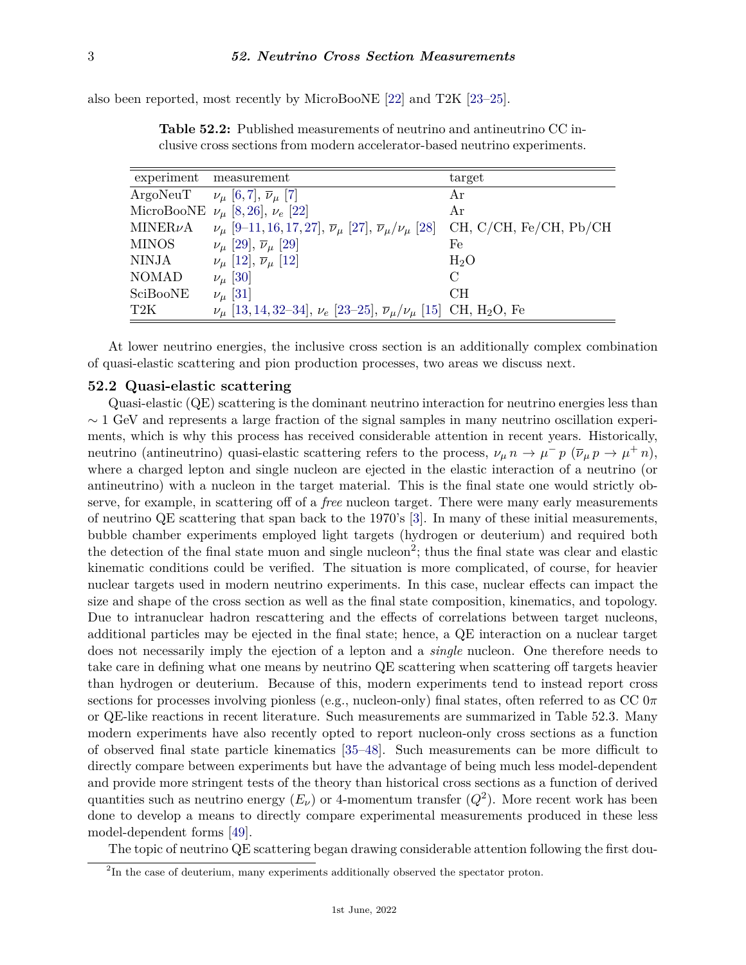also been reported, most recently by MicroBooNE [\[22\]](#page-6-13) and T2K [\[23–](#page-6-14)[25\]](#page-6-15).

|                  | experiment measurement                                                                                         | target                      |
|------------------|----------------------------------------------------------------------------------------------------------------|-----------------------------|
| ArgoNeuT         | $\nu_{\mu}$ [6, 7], $\overline{\nu}_{\mu}$ [7]                                                                 | Ar                          |
|                  | MicroBooNE $\nu_{\mu}$ [8, 26], $\nu_{e}$ [22]                                                                 | Ar                          |
| MINER $\nu$ A    | $\nu_{\mu}$ [9–11, 16, 17, 27], $\overline{\nu}_{\mu}$ [27], $\overline{\nu}_{\mu}/\nu_{\mu}$ [28]             | CH, C/CH, Fe/CH, Pb/CH      |
| <b>MINOS</b>     | $\nu_{\mu}$ [29], $\bar{\nu}_{\mu}$ [29]                                                                       | Fe                          |
| NINJA            | $\nu_{\mu}$ [12], $\overline{\nu}_{\mu}$ [12]                                                                  | $H_2O$                      |
| <b>NOMAD</b>     | $\nu_\mu$ [30]                                                                                                 | $\mathcal{C}_{\mathcal{C}}$ |
| SciBooNE         | $\nu_{\mu}$ [31]                                                                                               | CH.                         |
| T <sub>2</sub> K | $\nu_{\mu}$ [13, 14, 32–34], $\nu_{e}$ [23–25], $\overline{\nu}_{\mu}/\nu_{\mu}$ [15] CH, H <sub>2</sub> O, Fe |                             |

**Table 52.2:** Published measurements of neutrino and antineutrino CC inclusive cross sections from modern accelerator-based neutrino experiments.

At lower neutrino energies, the inclusive cross section is an additionally complex combination of quasi-elastic scattering and pion production processes, two areas we discuss next.

### **52.2 Quasi-elastic scattering**

Quasi-elastic (QE) scattering is the dominant neutrino interaction for neutrino energies less than  $\sim$  1 GeV and represents a large fraction of the signal samples in many neutrino oscillation experiments, which is why this process has received considerable attention in recent years. Historically, neutrino (antineutrino) quasi-elastic scattering refers to the process,  $\nu_{\mu} n \to \mu^- p \ (\overline{\nu}_{\mu} p \to \mu^+ n)$ , where a charged lepton and single nucleon are ejected in the elastic interaction of a neutrino (or antineutrino) with a nucleon in the target material. This is the final state one would strictly observe, for example, in scattering off of a *free* nucleon target. There were many early measurements of neutrino QE scattering that span back to the 1970's [\[3\]](#page-5-2). In many of these initial measurements, bubble chamber experiments employed light targets (hydrogen or deuterium) and required both the detection of the final state muon and single nucleon<sup>[2](#page-2-0)</sup>; thus the final state was clear and elastic kinematic conditions could be verified. The situation is more complicated, of course, for heavier nuclear targets used in modern neutrino experiments. In this case, nuclear effects can impact the size and shape of the cross section as well as the final state composition, kinematics, and topology. Due to intranuclear hadron rescattering and the effects of correlations between target nucleons, additional particles may be ejected in the final state; hence, a QE interaction on a nuclear target does not necessarily imply the ejection of a lepton and a *single* nucleon. One therefore needs to take care in defining what one means by neutrino QE scattering when scattering off targets heavier than hydrogen or deuterium. Because of this, modern experiments tend to instead report cross sections for processes involving pionless (e.g., nucleon-only) final states, often referred to as  $CC$   $0\pi$ or QE-like reactions in recent literature. Such measurements are summarized in Table 52.3. Many modern experiments have also recently opted to report nucleon-only cross sections as a function of observed final state particle kinematics [\[35–](#page-6-24)[48\]](#page-7-0). Such measurements can be more difficult to directly compare between experiments but have the advantage of being much less model-dependent and provide more stringent tests of the theory than historical cross sections as a function of derived quantities such as neutrino energy  $(E_{\nu})$  or 4-momentum transfer  $(Q^2)$ . More recent work has been done to develop a means to directly compare experimental measurements produced in these less model-dependent forms [\[49\]](#page-7-1).

The topic of neutrino QE scattering began drawing considerable attention following the first dou-

<span id="page-2-0"></span> $2<sup>2</sup>$ In the case of deuterium, many experiments additionally observed the spectator proton.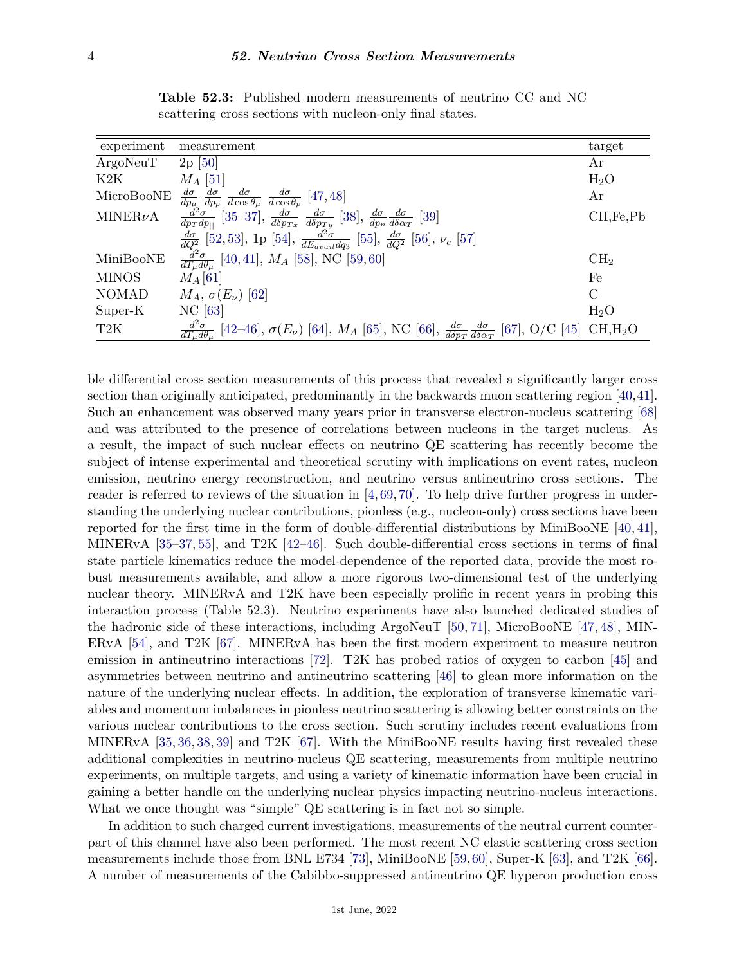| experiment    | measurement                                                                                                                                                                                                                                                                                                                                          | target          |
|---------------|------------------------------------------------------------------------------------------------------------------------------------------------------------------------------------------------------------------------------------------------------------------------------------------------------------------------------------------------------|-----------------|
| ArgoNeuT      | $2p \, [50]$                                                                                                                                                                                                                                                                                                                                         | Αr              |
| K2K           | $M_A$ [51]                                                                                                                                                                                                                                                                                                                                           | $H_2O$          |
| MicroBooNE    |                                                                                                                                                                                                                                                                                                                                                      | Ar              |
| MINER $\nu$ A | $\begin{array}{l} \frac{d\sigma}{dp_{\mu}}\frac{d\sigma}{dp_{p}}\frac{d\sigma}{d\cos\theta_{\mu}}\frac{d\sigma}{d\cos\theta_{p}}\ [47,48] \\ \frac{d^{2}\sigma}{dp_{T}dp_{  }}\ [35\text{--}37],\ \frac{d\sigma}{d\delta p_{Tx}}\ \frac{d\sigma}{d\delta p_{Ty}}\ [38],\ \frac{d\sigma}{dp_{n}}\frac{d\sigma}{d\delta \alpha_{T}}\ [39] \end{array}$ | CH, Fe, Pb      |
|               | $\frac{d\sigma}{dQ^2}$ [52, 53], 1p [54], $\frac{d^2\sigma}{dE_{anial}dq_3}$ [55], $\frac{d\sigma}{dQ^2}$ [56], $\nu_e$ [57]                                                                                                                                                                                                                         |                 |
| MiniBooNE     | $\frac{d^2\sigma}{dT_u d\theta_u}$ [40,41], $M_A$ [58], NC [59,60]                                                                                                                                                                                                                                                                                   | CH <sub>2</sub> |
| <b>MINOS</b>  | $M_A$ [61]                                                                                                                                                                                                                                                                                                                                           | Fe              |
| <b>NOMAD</b>  | $M_A$ , $\sigma(E_\nu)$ [62]                                                                                                                                                                                                                                                                                                                         | $\mathcal{C}$   |
| Super-K       | $NC$ [63]                                                                                                                                                                                                                                                                                                                                            | $H_2O$          |
| T2K           | $\frac{d^2\sigma}{dT_u d\theta_u}$ [42–46], $\sigma(E_\nu)$ [64], $M_A$ [65], NC [66], $\frac{d\sigma}{d\delta p_T} \frac{d\sigma}{d\delta \alpha_T}$ [67], O/C [45] CH,H <sub>2</sub> O                                                                                                                                                             |                 |

**Table 52.3:** Published modern measurements of neutrino CC and NC scattering cross sections with nucleon-only final states.

ble differential cross section measurements of this process that revealed a significantly larger cross section than originally anticipated, predominantly in the backwards muon scattering region [\[40,](#page-6-28)[41\]](#page-6-29). Such an enhancement was observed many years prior in transverse electron-nucleus scattering [\[68\]](#page-7-23) and was attributed to the presence of correlations between nucleons in the target nucleus. As a result, the impact of such nuclear effects on neutrino QE scattering has recently become the subject of intense experimental and theoretical scrutiny with implications on event rates, nucleon emission, neutrino energy reconstruction, and neutrino versus antineutrino cross sections. The reader is referred to reviews of the situation in  $[4, 69, 70]$  $[4, 69, 70]$  $[4, 69, 70]$  $[4, 69, 70]$  $[4, 69, 70]$ . To help drive further progress in understanding the underlying nuclear contributions, pionless (e.g., nucleon-only) cross sections have been reported for the first time in the form of double-differential distributions by MiniBooNE [\[40,](#page-6-28) [41\]](#page-6-29), MINERvA [\[35](#page-6-24)[–37,](#page-6-25) [55\]](#page-7-8), and T2K [\[42–](#page-6-30)[46\]](#page-7-17). Such double-differential cross sections in terms of final state particle kinematics reduce the model-dependence of the reported data, provide the most robust measurements available, and allow a more rigorous two-dimensional test of the underlying nuclear theory. MINERvA and T2K have been especially prolific in recent years in probing this interaction process (Table 52.3). Neutrino experiments have also launched dedicated studies of the hadronic side of these interactions, including ArgoNeuT [\[50,](#page-7-2) [71\]](#page-7-26), MicroBooNE [\[47,](#page-7-4) [48\]](#page-7-0), MIN-ERvA [\[54\]](#page-7-7), and T2K [\[67\]](#page-7-21). MINERvA has been the first modern experiment to measure neutron emission in antineutrino interactions [\[72\]](#page-7-27). T2K has probed ratios of oxygen to carbon [\[45\]](#page-7-22) and asymmetries between neutrino and antineutrino scattering [\[46\]](#page-7-17) to glean more information on the nature of the underlying nuclear effects. In addition, the exploration of transverse kinematic variables and momentum imbalances in pionless neutrino scattering is allowing better constraints on the various nuclear contributions to the cross section. Such scrutiny includes recent evaluations from MINERvA [\[35,](#page-6-24) [36,](#page-6-31) [38,](#page-6-26) [39\]](#page-6-27) and T2K [\[67\]](#page-7-21). With the MiniBooNE results having first revealed these additional complexities in neutrino-nucleus QE scattering, measurements from multiple neutrino experiments, on multiple targets, and using a variety of kinematic information have been crucial in gaining a better handle on the underlying nuclear physics impacting neutrino-nucleus interactions. What we once thought was "simple" QE scattering is in fact not so simple.

In addition to such charged current investigations, measurements of the neutral current counterpart of this channel have also been performed. The most recent NC elastic scattering cross section measurements include those from BNL E734 [\[73\]](#page-7-28), MiniBooNE [\[59,](#page-7-12)[60\]](#page-7-13), Super-K [\[63\]](#page-7-16), and T2K [\[66\]](#page-7-20). A number of measurements of the Cabibbo-suppressed antineutrino QE hyperon production cross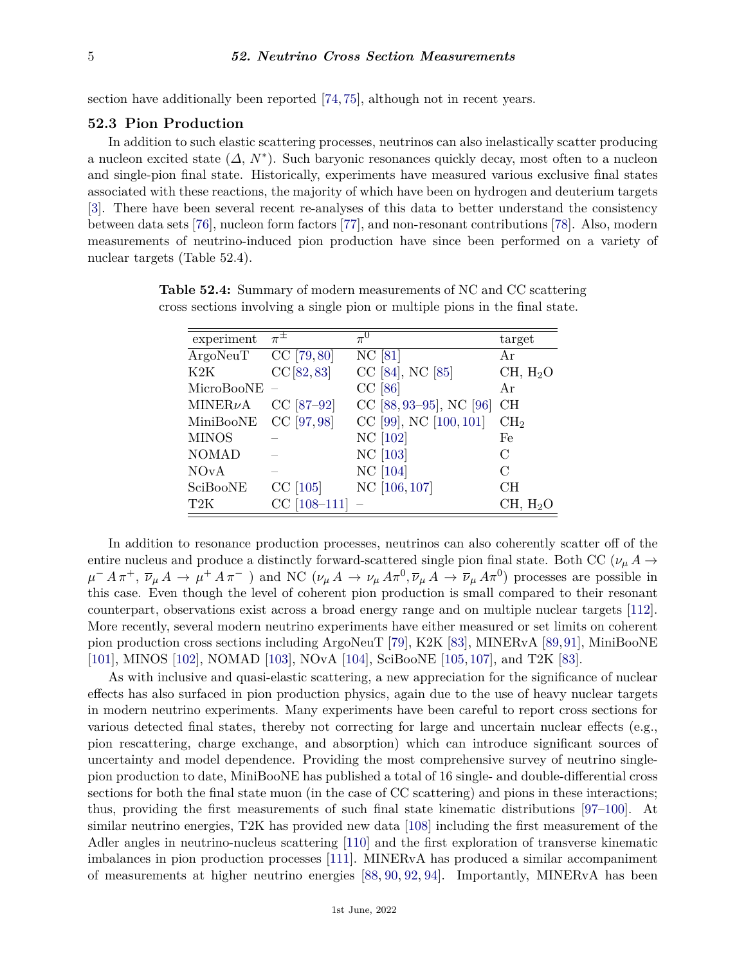section have additionally been reported [\[74,](#page-7-29) [75\]](#page-7-30), although not in recent years.

## **52.3 Pion Production**

In addition to such elastic scattering processes, neutrinos can also inelastically scatter producing a nucleon excited state (*∆*, *N*<sup>∗</sup> ). Such baryonic resonances quickly decay, most often to a nucleon and single-pion final state. Historically, experiments have measured various exclusive final states associated with these reactions, the majority of which have been on hydrogen and deuterium targets [\[3\]](#page-5-2). There have been several recent re-analyses of this data to better understand the consistency between data sets [\[76\]](#page-7-31), nucleon form factors [\[77\]](#page-7-32), and non-resonant contributions [\[78\]](#page-7-33). Also, modern measurements of neutrino-induced pion production have since been performed on a variety of nuclear targets (Table 52.4).

| experiment       | $\pi^{\pm}$    | $\pi^0$                 | target               |
|------------------|----------------|-------------------------|----------------------|
| ArgoNeuT         | $CC$ [79,80]   | NC [81]                 | Αr                   |
| K2K              | CC[82, 83]     | CC [84], NC [85]        | CH, H <sub>2</sub> O |
| MicroBooNE       |                | $CC$ [86]               | Ar                   |
| $MINER\nu A$     | CC [87-92]     | CC [88, 93-95], NC [96] | CH                   |
| MiniBooNE        | CC [97,98]     | CC [99], NC [100, 101]  | CH <sub>2</sub>      |
| <b>MINOS</b>     |                | NC [102]                | Fe                   |
| <b>NOMAD</b>     |                | NC [103]                | C                    |
| <b>NOvA</b>      |                | NC [104]                | C                    |
| SciBooNE         | $CC$ [105]     | NC [106, 107]           | CH                   |
| T <sub>2</sub> K | $CC$ [108-111] |                         | CH, H <sub>2</sub> O |

**Table 52.4:** Summary of modern measurements of NC and CC scattering cross sections involving a single pion or multiple pions in the final state.

In addition to resonance production processes, neutrinos can also coherently scatter off of the entire nucleus and produce a distinctly forward-scattered single pion final state. Both CC ( $\nu_{\mu} A \rightarrow$  $\mu^- A \pi^+, \bar{\nu}_{\mu} A \to \mu^+ A \pi^-$  and NC  $(\nu_{\mu} A \to \nu_{\mu} A \pi^0, \bar{\nu}_{\mu} A \to \bar{\nu}_{\mu} A \pi^0)$  processes are possible in this case. Even though the level of coherent pion production is small compared to their resonant counterpart, observations exist across a broad energy range and on multiple nuclear targets [\[112\]](#page-8-27). More recently, several modern neutrino experiments have either measured or set limits on coherent pion production cross sections including ArgoNeuT [\[79\]](#page-8-0), K2K [\[83\]](#page-8-4), MINERvA [\[89,](#page-8-28)[91\]](#page-8-29), MiniBooNE [\[101\]](#page-8-18), MINOS [\[102\]](#page-8-19), NOMAD [\[103\]](#page-8-20), NOvA [\[104\]](#page-8-21), SciBooNE [\[105,](#page-8-22) [107\]](#page-8-24), and T2K [\[83\]](#page-8-4).

As with inclusive and quasi-elastic scattering, a new appreciation for the significance of nuclear effects has also surfaced in pion production physics, again due to the use of heavy nuclear targets in modern neutrino experiments. Many experiments have been careful to report cross sections for various detected final states, thereby not correcting for large and uncertain nuclear effects (e.g., pion rescattering, charge exchange, and absorption) which can introduce significant sources of uncertainty and model dependence. Providing the most comprehensive survey of neutrino singlepion production to date, MiniBooNE has published a total of 16 single- and double-differential cross sections for both the final state muon (in the case of CC scattering) and pions in these interactions; thus, providing the first measurements of such final state kinematic distributions [\[97–](#page-8-14)[100\]](#page-8-17). At similar neutrino energies, T2K has provided new data [\[108\]](#page-8-25) including the first measurement of the Adler angles in neutrino-nucleus scattering [\[110\]](#page-8-30) and the first exploration of transverse kinematic imbalances in pion production processes [\[111\]](#page-8-26). MINERvA has produced a similar accompaniment of measurements at higher neutrino energies [\[88,](#page-8-10) [90,](#page-8-31) [92,](#page-8-9) [94\]](#page-8-32). Importantly, MINERvA has been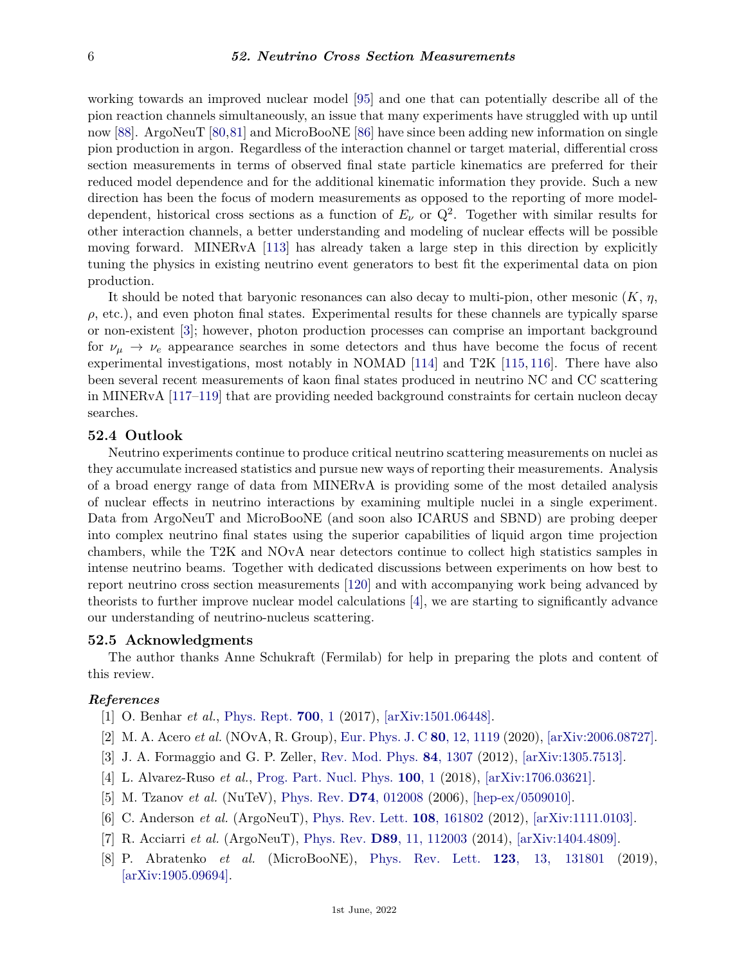working towards an improved nuclear model [\[95\]](#page-8-12) and one that can potentially describe all of the pion reaction channels simultaneously, an issue that many experiments have struggled with up until now [\[88\]](#page-8-10). ArgoNeuT [\[80,](#page-8-1)[81\]](#page-8-2) and MicroBooNE [\[86\]](#page-8-7) have since been adding new information on single pion production in argon. Regardless of the interaction channel or target material, differential cross section measurements in terms of observed final state particle kinematics are preferred for their reduced model dependence and for the additional kinematic information they provide. Such a new direction has been the focus of modern measurements as opposed to the reporting of more modeldependent, historical cross sections as a function of  $E_{\nu}$  or  $Q^2$ . Together with similar results for other interaction channels, a better understanding and modeling of nuclear effects will be possible moving forward. MINERvA [\[113\]](#page-8-33) has already taken a large step in this direction by explicitly tuning the physics in existing neutrino event generators to best fit the experimental data on pion production.

It should be noted that baryonic resonances can also decay to multi-pion, other mesonic (*K*, *η*,  $\rho$ , etc.), and even photon final states. Experimental results for these channels are typically sparse or non-existent [\[3\]](#page-5-2); however, photon production processes can comprise an important background for  $\nu_{\mu} \rightarrow \nu_{e}$  appearance searches in some detectors and thus have become the focus of recent experimental investigations, most notably in NOMAD [\[114\]](#page-8-34) and T2K [\[115,](#page-8-35) [116\]](#page-9-0). There have also been several recent measurements of kaon final states produced in neutrino NC and CC scattering in MINERvA [\[117–](#page-9-1)[119\]](#page-9-2) that are providing needed background constraints for certain nucleon decay searches.

### **52.4 Outlook**

Neutrino experiments continue to produce critical neutrino scattering measurements on nuclei as they accumulate increased statistics and pursue new ways of reporting their measurements. Analysis of a broad energy range of data from MINERvA is providing some of the most detailed analysis of nuclear effects in neutrino interactions by examining multiple nuclei in a single experiment. Data from ArgoNeuT and MicroBooNE (and soon also ICARUS and SBND) are probing deeper into complex neutrino final states using the superior capabilities of liquid argon time projection chambers, while the T2K and NOvA near detectors continue to collect high statistics samples in intense neutrino beams. Together with dedicated discussions between experiments on how best to report neutrino cross section measurements [\[120\]](#page-9-3) and with accompanying work being advanced by theorists to further improve nuclear model calculations [\[4\]](#page-5-3), we are starting to significantly advance our understanding of neutrino-nucleus scattering.

#### **52.5 Acknowledgments**

The author thanks Anne Schukraft (Fermilab) for help in preparing the plots and content of this review.

### <span id="page-5-0"></span>*References*

- [1] O. Benhar *et al.*, [Phys. Rept.](http://doi.org/10.1016/j.physrep.2017.07.004) **[700](http://doi.org/10.1016/j.physrep.2017.07.004)**, 1 (2017), [\[arXiv:1501.06448\].](https://arxiv.org/abs/1501.06448)
- <span id="page-5-1"></span>[2] M. A. Acero *et al.* (NOvA, R. Group), [Eur. Phys. J. C](http://doi.org/10.1140/epjc/s10052-020-08577-5) **80**[, 12, 1119](http://doi.org/10.1140/epjc/s10052-020-08577-5) (2020), [\[arXiv:2006.08727\].](https://arxiv.org/abs/2006.08727)
- <span id="page-5-2"></span>[3] J. A. Formaggio and G. P. Zeller, [Rev. Mod. Phys.](http://doi.org/10.1103/RevModPhys.84.1307) **84**[, 1307](http://doi.org/10.1103/RevModPhys.84.1307) (2012), [\[arXiv:1305.7513\].](https://arxiv.org/abs/1305.7513)
- <span id="page-5-3"></span>[4] L. Alvarez-Ruso *et al.*, [Prog. Part. Nucl. Phys.](http://doi.org/10.1016/j.ppnp.2018.01.006) **[100](http://doi.org/10.1016/j.ppnp.2018.01.006)**, 1 (2018), [\[arXiv:1706.03621\].](https://arxiv.org/abs/1706.03621)
- <span id="page-5-4"></span>[5] M. Tzanov *et al.* (NuTeV), [Phys. Rev.](http://doi.org/10.1103/PhysRevD.74.012008) **D74**[, 012008](http://doi.org/10.1103/PhysRevD.74.012008) (2006), [\[hep-ex/0509010\].](https://arxiv.org/abs/hep-ex/0509010)
- <span id="page-5-5"></span>[6] C. Anderson *et al.* (ArgoNeuT), [Phys. Rev. Lett.](http://doi.org/10.1103/PhysRevLett.108.161802) **108**[, 161802](http://doi.org/10.1103/PhysRevLett.108.161802) (2012), [\[arXiv:1111.0103\].](https://arxiv.org/abs/1111.0103)
- <span id="page-5-7"></span><span id="page-5-6"></span>[7] R. Acciarri *et al.* (ArgoNeuT), [Phys. Rev.](http://doi.org/10.1103/PhysRevD.89.112003) **D89**[, 11, 112003](http://doi.org/10.1103/PhysRevD.89.112003) (2014), [\[arXiv:1404.4809\].](https://arxiv.org/abs/1404.4809)
- [8] P. Abratenko *et al.* (MicroBooNE), [Phys. Rev. Lett.](http://doi.org/10.1103/PhysRevLett.123.131801) **123**[, 13, 131801](http://doi.org/10.1103/PhysRevLett.123.131801) (2019), [\[arXiv:1905.09694\].](https://arxiv.org/abs/1905.09694)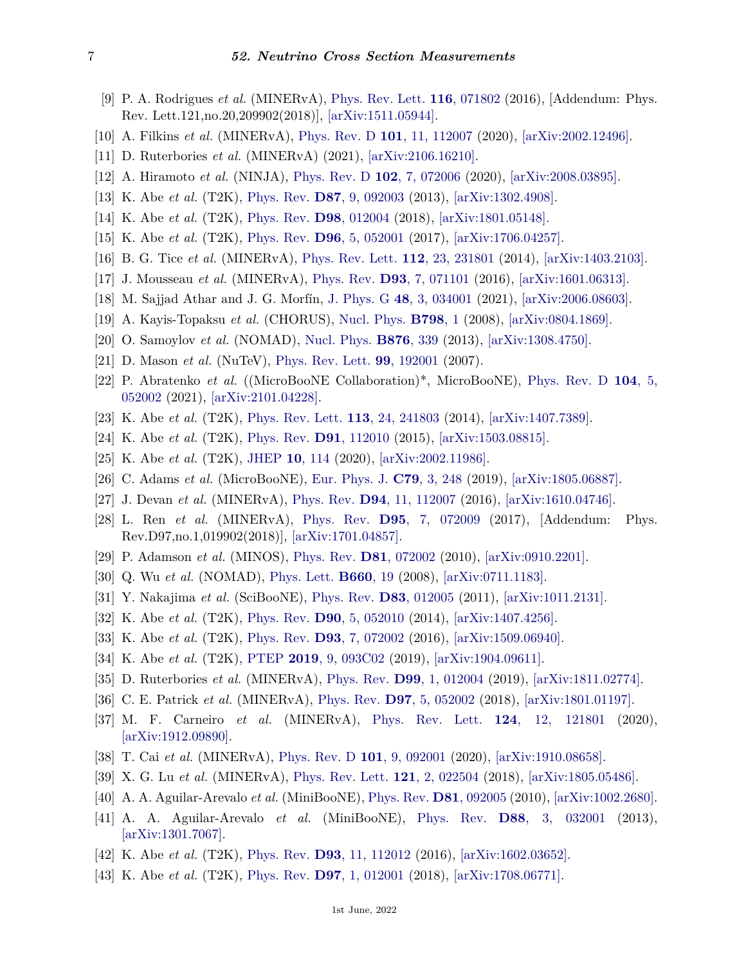- <span id="page-6-0"></span>[9] P. A. Rodrigues *et al.* (MINERvA), [Phys. Rev. Lett.](http://doi.org/10.1103/PhysRevLett.121.209902) **116**[, 071802](http://doi.org/10.1103/PhysRevLett.121.209902) (2016), [Addendum: Phys. Rev. Lett.121,no.20,209902(2018)], [\[arXiv:1511.05944\].](https://arxiv.org/abs/1511.05944)
- <span id="page-6-5"></span>[10] A. Filkins *et al.* (MINERvA), [Phys. Rev. D](http://doi.org/10.1103/PhysRevD.101.112007) **101**[, 11, 112007](http://doi.org/10.1103/PhysRevD.101.112007) (2020), [\[arXiv:2002.12496\].](https://arxiv.org/abs/2002.12496)
- <span id="page-6-1"></span>[11] D. Ruterbories *et al.* (MINERvA) (2021), [\[arXiv:2106.16210\].](https://arxiv.org/abs/2106.16210)
- <span id="page-6-2"></span>[12] A. Hiramoto *et al.* (NINJA), [Phys. Rev. D](http://doi.org/10.1103/PhysRevD.102.072006) **102**[, 7, 072006](http://doi.org/10.1103/PhysRevD.102.072006) (2020), [\[arXiv:2008.03895\].](https://arxiv.org/abs/2008.03895)
- <span id="page-6-3"></span>[13] K. Abe *et al.* (T2K), [Phys. Rev.](http://doi.org/10.1103/PhysRevD.87.092003) **D87**[, 9, 092003](http://doi.org/10.1103/PhysRevD.87.092003) (2013), [\[arXiv:1302.4908\].](https://arxiv.org/abs/1302.4908)
- <span id="page-6-4"></span>[14] K. Abe *et al.* (T2K), [Phys. Rev.](http://doi.org/10.1103/PhysRevD.98.012004) **D98**[, 012004](http://doi.org/10.1103/PhysRevD.98.012004) (2018), [\[arXiv:1801.05148\].](https://arxiv.org/abs/1801.05148)
- <span id="page-6-6"></span>[15] K. Abe *et al.* (T2K), [Phys. Rev.](http://doi.org/10.1103/PhysRevD.96.052001) **D96**[, 5, 052001](http://doi.org/10.1103/PhysRevD.96.052001) (2017), [\[arXiv:1706.04257\].](https://arxiv.org/abs/1706.04257)
- <span id="page-6-7"></span>[16] B. G. Tice *et al.* (MINERvA), [Phys. Rev. Lett.](http://doi.org/10.1103/PhysRevLett.112.231801) **112**[, 23, 231801](http://doi.org/10.1103/PhysRevLett.112.231801) (2014), [\[arXiv:1403.2103\].](https://arxiv.org/abs/1403.2103)
- <span id="page-6-8"></span>[17] J. Mousseau *et al.* (MINERvA), [Phys. Rev.](http://doi.org/10.1103/PhysRevD.93.071101) **D93**[, 7, 071101](http://doi.org/10.1103/PhysRevD.93.071101) (2016), [\[arXiv:1601.06313\].](https://arxiv.org/abs/1601.06313)
- <span id="page-6-9"></span>[18] M. Sajjad Athar and J. G. Morfín, [J. Phys. G](http://doi.org/10.1088/1361-6471/abbb11) **48**[, 3, 034001](http://doi.org/10.1088/1361-6471/abbb11) (2021), [\[arXiv:2006.08603\].](https://arxiv.org/abs/2006.08603)
- <span id="page-6-10"></span>[19] A. Kayis-Topaksu *et al.* (CHORUS), [Nucl. Phys.](http://doi.org/10.1016/j.nuclphysb.2008.02.013) **[B798](http://doi.org/10.1016/j.nuclphysb.2008.02.013)**, 1 (2008), [\[arXiv:0804.1869\].](https://arxiv.org/abs/0804.1869)
- <span id="page-6-11"></span>[20] O. Samoylov *et al.* (NOMAD), [Nucl. Phys.](http://doi.org/10.1016/j.nuclphysb.2013.08.021) **[B876](http://doi.org/10.1016/j.nuclphysb.2013.08.021)**, 339 (2013), [\[arXiv:1308.4750\].](https://arxiv.org/abs/1308.4750)
- <span id="page-6-12"></span>[21] D. Mason *et al.* (NuTeV), [Phys. Rev. Lett.](http://doi.org/10.1103/PhysRevLett.99.192001) **99**[, 192001](http://doi.org/10.1103/PhysRevLett.99.192001) (2007).
- <span id="page-6-13"></span>[22] P. Abratenko *et al.* ((MicroBooNE Collaboration)\*, MicroBooNE), [Phys. Rev. D](http://doi.org/10.1103/PhysRevD.104.052002) **[104](http://doi.org/10.1103/PhysRevD.104.052002)**, 5, [052002](http://doi.org/10.1103/PhysRevD.104.052002) (2021), [\[arXiv:2101.04228\].](https://arxiv.org/abs/2101.04228)
- <span id="page-6-14"></span>[23] K. Abe *et al.* (T2K), [Phys. Rev. Lett.](http://doi.org/10.1103/PhysRevLett.113.241803) **113**[, 24, 241803](http://doi.org/10.1103/PhysRevLett.113.241803) (2014), [\[arXiv:1407.7389\].](https://arxiv.org/abs/1407.7389)
- [24] K. Abe *et al.* (T2K), [Phys. Rev.](http://doi.org/10.1103/PhysRevD.91.112010) **D91**[, 112010](http://doi.org/10.1103/PhysRevD.91.112010) (2015), [\[arXiv:1503.08815\].](https://arxiv.org/abs/1503.08815)
- <span id="page-6-15"></span>[25] K. Abe *et al.* (T2K), [JHEP](http://doi.org/10.1007/JHEP10(2020)114) **10**[, 114](http://doi.org/10.1007/JHEP10(2020)114) (2020), [\[arXiv:2002.11986\].](https://arxiv.org/abs/2002.11986)
- <span id="page-6-16"></span>[26] C. Adams *et al.* (MicroBooNE), [Eur. Phys. J.](http://doi.org/10.1140/epjc/s10052-019-6742-3) **C79**[, 3, 248](http://doi.org/10.1140/epjc/s10052-019-6742-3) (2019), [\[arXiv:1805.06887\].](https://arxiv.org/abs/1805.06887)
- <span id="page-6-17"></span>[27] J. Devan *et al.* (MINERvA), [Phys. Rev.](http://doi.org/10.1103/PhysRevD.94.112007) **D94**[, 11, 112007](http://doi.org/10.1103/PhysRevD.94.112007) (2016), [\[arXiv:1610.04746\].](https://arxiv.org/abs/1610.04746)
- <span id="page-6-18"></span>[28] L. Ren *et al.* (MINERvA), [Phys. Rev.](http://doi.org/10.1103/PhysRevD.97.019902) **D95**[, 7, 072009](http://doi.org/10.1103/PhysRevD.97.019902) (2017), [Addendum: Phys. Rev.D97,no.1,019902(2018)], [\[arXiv:1701.04857\].](https://arxiv.org/abs/1701.04857)
- <span id="page-6-19"></span>[29] P. Adamson *et al.* (MINOS), [Phys. Rev.](http://doi.org/10.1103/PhysRevD.81.072002) **D81**[, 072002](http://doi.org/10.1103/PhysRevD.81.072002) (2010), [\[arXiv:0910.2201\].](https://arxiv.org/abs/0910.2201)
- <span id="page-6-20"></span>[30] Q. Wu *et al.* (NOMAD), [Phys. Lett.](http://doi.org/10.1016/j.physletb.2007.12.027) **[B660](http://doi.org/10.1016/j.physletb.2007.12.027)**, 19 (2008), [\[arXiv:0711.1183\].](https://arxiv.org/abs/0711.1183)
- <span id="page-6-21"></span>[31] Y. Nakajima *et al.* (SciBooNE), [Phys. Rev.](http://doi.org/10.1103/PhysRevD.83.012005) **D83**[, 012005](http://doi.org/10.1103/PhysRevD.83.012005) (2011), [\[arXiv:1011.2131\].](https://arxiv.org/abs/1011.2131)
- <span id="page-6-22"></span>[32] K. Abe *et al.* (T2K), [Phys. Rev.](http://doi.org/10.1103/PhysRevD.90.052010) **D90**[, 5, 052010](http://doi.org/10.1103/PhysRevD.90.052010) (2014), [\[arXiv:1407.4256\].](https://arxiv.org/abs/1407.4256)
- [33] K. Abe *et al.* (T2K), [Phys. Rev.](http://doi.org/10.1103/PhysRevD.93.072002) **D93**[, 7, 072002](http://doi.org/10.1103/PhysRevD.93.072002) (2016), [\[arXiv:1509.06940\].](https://arxiv.org/abs/1509.06940)
- <span id="page-6-23"></span>[34] K. Abe *et al.* (T2K), [PTEP](http://doi.org/10.1093/ptep/ptz070) **2019**[, 9, 093C02](http://doi.org/10.1093/ptep/ptz070) (2019), [\[arXiv:1904.09611\].](https://arxiv.org/abs/1904.09611)
- <span id="page-6-24"></span>[35] D. Ruterbories *et al.* (MINERvA), [Phys. Rev.](http://doi.org/10.1103/PhysRevD.99.012004) **D99**[, 1, 012004](http://doi.org/10.1103/PhysRevD.99.012004) (2019), [\[arXiv:1811.02774\].](https://arxiv.org/abs/1811.02774)
- <span id="page-6-31"></span>[36] C. E. Patrick *et al.* (MINERvA), [Phys. Rev.](http://doi.org/10.1103/PhysRevD.97.052002) **D97**[, 5, 052002](http://doi.org/10.1103/PhysRevD.97.052002) (2018), [\[arXiv:1801.01197\].](https://arxiv.org/abs/1801.01197)
- <span id="page-6-25"></span>[37] M. F. Carneiro *et al.* (MINERvA), [Phys. Rev. Lett.](http://doi.org/10.1103/PhysRevLett.124.121801) **124**[, 12, 121801](http://doi.org/10.1103/PhysRevLett.124.121801) (2020), [\[arXiv:1912.09890\].](https://arxiv.org/abs/1912.09890)
- <span id="page-6-26"></span>[38] T. Cai *et al.* (MINERvA), [Phys. Rev. D](http://doi.org/10.1103/PhysRevD.101.092001) **101**[, 9, 092001](http://doi.org/10.1103/PhysRevD.101.092001) (2020), [\[arXiv:1910.08658\].](https://arxiv.org/abs/1910.08658)
- <span id="page-6-27"></span>[39] X. G. Lu *et al.* (MINERvA), [Phys. Rev. Lett.](http://doi.org/10.1103/PhysRevLett.121.022504) **121**[, 2, 022504](http://doi.org/10.1103/PhysRevLett.121.022504) (2018), [\[arXiv:1805.05486\].](https://arxiv.org/abs/1805.05486)
- <span id="page-6-28"></span>[40] A. A. Aguilar-Arevalo *et al.* (MiniBooNE), [Phys. Rev.](http://doi.org/10.1103/PhysRevD.81.092005) **D81**[, 092005](http://doi.org/10.1103/PhysRevD.81.092005) (2010), [\[arXiv:1002.2680\].](https://arxiv.org/abs/1002.2680)
- <span id="page-6-29"></span>[41] A. A. Aguilar-Arevalo *et al.* (MiniBooNE), [Phys. Rev.](http://doi.org/10.1103/PhysRevD.88.032001) **D88**[, 3, 032001](http://doi.org/10.1103/PhysRevD.88.032001) (2013), [\[arXiv:1301.7067\].](https://arxiv.org/abs/1301.7067)
- <span id="page-6-30"></span>[42] K. Abe *et al.* (T2K), [Phys. Rev.](http://doi.org/10.1103/PhysRevD.93.112012) **D93**[, 11, 112012](http://doi.org/10.1103/PhysRevD.93.112012) (2016), [\[arXiv:1602.03652\].](https://arxiv.org/abs/1602.03652)
- [43] K. Abe *et al.* (T2K), [Phys. Rev.](http://doi.org/10.1103/PhysRevD.97.012001) **D97**[, 1, 012001](http://doi.org/10.1103/PhysRevD.97.012001) (2018), [\[arXiv:1708.06771\].](https://arxiv.org/abs/1708.06771)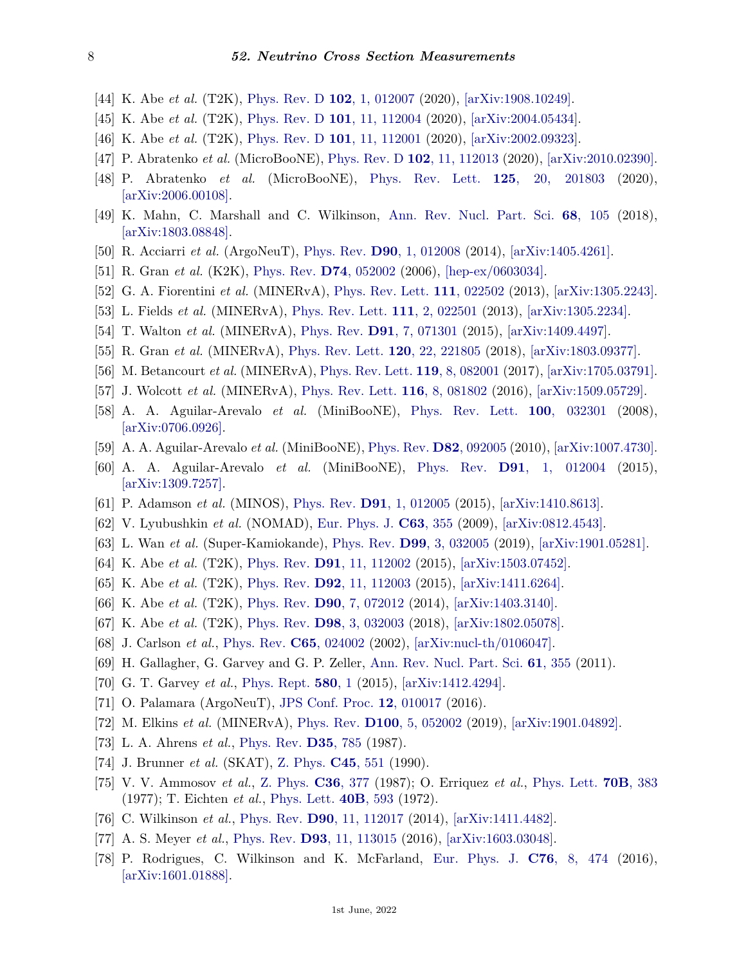- [44] K. Abe *et al.* (T2K), [Phys. Rev. D](http://doi.org/10.1103/PhysRevD.102.012007) **102**[, 1, 012007](http://doi.org/10.1103/PhysRevD.102.012007) (2020), [\[arXiv:1908.10249\].](https://arxiv.org/abs/1908.10249)
- <span id="page-7-22"></span>[45] K. Abe *et al.* (T2K), [Phys. Rev. D](http://doi.org/10.1103/PhysRevD.101.112004) **101**[, 11, 112004](http://doi.org/10.1103/PhysRevD.101.112004) (2020), [\[arXiv:2004.05434\].](https://arxiv.org/abs/2004.05434)
- <span id="page-7-17"></span>[46] K. Abe *et al.* (T2K), [Phys. Rev. D](http://doi.org/10.1103/PhysRevD.101.112001) **101**[, 11, 112001](http://doi.org/10.1103/PhysRevD.101.112001) (2020), [\[arXiv:2002.09323\].](https://arxiv.org/abs/2002.09323)
- <span id="page-7-4"></span>[47] P. Abratenko *et al.* (MicroBooNE), [Phys. Rev. D](http://doi.org/10.1103/PhysRevD.102.112013) **102**[, 11, 112013](http://doi.org/10.1103/PhysRevD.102.112013) (2020), [\[arXiv:2010.02390\].](https://arxiv.org/abs/2010.02390)
- <span id="page-7-0"></span>[48] P. Abratenko *et al.* (MicroBooNE), [Phys. Rev. Lett.](http://doi.org/10.1103/PhysRevLett.125.201803) **125**[, 20, 201803](http://doi.org/10.1103/PhysRevLett.125.201803) (2020), [\[arXiv:2006.00108\].](https://arxiv.org/abs/2006.00108)
- <span id="page-7-1"></span>[49] K. Mahn, C. Marshall and C. Wilkinson, [Ann. Rev. Nucl. Part. Sci.](http://doi.org/10.1146/annurev-nucl-101917-020930) **68**[, 105](http://doi.org/10.1146/annurev-nucl-101917-020930) (2018), [\[arXiv:1803.08848\].](https://arxiv.org/abs/1803.08848)
- <span id="page-7-2"></span>[50] R. Acciarri *et al.* (ArgoNeuT), [Phys. Rev.](http://doi.org/10.1103/PhysRevD.90.012008) **D90**[, 1, 012008](http://doi.org/10.1103/PhysRevD.90.012008) (2014), [\[arXiv:1405.4261\].](https://arxiv.org/abs/1405.4261)
- <span id="page-7-3"></span>[51] R. Gran *et al.* (K2K), [Phys. Rev.](http://doi.org/10.1103/PhysRevD.74.052002) **D74**[, 052002](http://doi.org/10.1103/PhysRevD.74.052002) (2006), [\[hep-ex/0603034\].](https://arxiv.org/abs/hep-ex/0603034)
- <span id="page-7-5"></span>[52] G. A. Fiorentini *et al.* (MINERvA), [Phys. Rev. Lett.](http://doi.org/10.1103/PhysRevLett.111.022502) **111**[, 022502](http://doi.org/10.1103/PhysRevLett.111.022502) (2013), [\[arXiv:1305.2243\].](https://arxiv.org/abs/1305.2243)
- <span id="page-7-6"></span>[53] L. Fields *et al.* (MINERvA), [Phys. Rev. Lett.](http://doi.org/10.1103/PhysRevLett.111.022501) **111**[, 2, 022501](http://doi.org/10.1103/PhysRevLett.111.022501) (2013), [\[arXiv:1305.2234\].](https://arxiv.org/abs/1305.2234)
- <span id="page-7-7"></span>[54] T. Walton *et al.* (MINERvA), [Phys. Rev.](http://doi.org/10.1103/PhysRevD.91.071301) **D91**[, 7, 071301](http://doi.org/10.1103/PhysRevD.91.071301) (2015), [\[arXiv:1409.4497\].](https://arxiv.org/abs/1409.4497)
- <span id="page-7-8"></span>[55] R. Gran *et al.* (MINERvA), [Phys. Rev. Lett.](http://doi.org/10.1103/PhysRevLett.120.221805) **120**[, 22, 221805](http://doi.org/10.1103/PhysRevLett.120.221805) (2018), [\[arXiv:1803.09377\].](https://arxiv.org/abs/1803.09377)
- <span id="page-7-9"></span>[56] M. Betancourt *et al.* (MINERvA), [Phys. Rev. Lett.](http://doi.org/10.1103/PhysRevLett.119.082001) **119**[, 8, 082001](http://doi.org/10.1103/PhysRevLett.119.082001) (2017), [\[arXiv:1705.03791\].](https://arxiv.org/abs/1705.03791)
- <span id="page-7-10"></span>[57] J. Wolcott *et al.* (MINERvA), [Phys. Rev. Lett.](http://doi.org/10.1103/PhysRevLett.116.081802) **116**[, 8, 081802](http://doi.org/10.1103/PhysRevLett.116.081802) (2016), [\[arXiv:1509.05729\].](https://arxiv.org/abs/1509.05729)
- <span id="page-7-11"></span>[58] A. A. Aguilar-Arevalo *et al.* (MiniBooNE), [Phys. Rev. Lett.](http://doi.org/10.1103/PhysRevLett.100.032301) **100**[, 032301](http://doi.org/10.1103/PhysRevLett.100.032301) (2008), [\[arXiv:0706.0926\].](https://arxiv.org/abs/0706.0926)
- <span id="page-7-12"></span>[59] A. A. Aguilar-Arevalo *et al.* (MiniBooNE), [Phys. Rev.](http://doi.org/10.1103/PhysRevD.82.092005) **D82**[, 092005](http://doi.org/10.1103/PhysRevD.82.092005) (2010), [\[arXiv:1007.4730\].](https://arxiv.org/abs/1007.4730)
- <span id="page-7-13"></span>[60] A. A. Aguilar-Arevalo *et al.* (MiniBooNE), [Phys. Rev.](http://doi.org/10.1103/PhysRevD.91.012004) **D91**[, 1, 012004](http://doi.org/10.1103/PhysRevD.91.012004) (2015), [\[arXiv:1309.7257\].](https://arxiv.org/abs/1309.7257)
- <span id="page-7-14"></span>[61] P. Adamson *et al.* (MINOS), [Phys. Rev.](http://doi.org/10.1103/PhysRevD.91.012005) **D91**[, 1, 012005](http://doi.org/10.1103/PhysRevD.91.012005) (2015), [\[arXiv:1410.8613\].](https://arxiv.org/abs/1410.8613)
- <span id="page-7-15"></span>[62] V. Lyubushkin *et al.* (NOMAD), [Eur. Phys. J.](http://doi.org/10.1140/epjc/s10052-009-1113-0) **C63**[, 355](http://doi.org/10.1140/epjc/s10052-009-1113-0) (2009), [\[arXiv:0812.4543\].](https://arxiv.org/abs/0812.4543)
- <span id="page-7-16"></span>[63] L. Wan *et al.* (Super-Kamiokande), [Phys. Rev.](http://doi.org/10.1103/PhysRevD.99.032005) **D99**[, 3, 032005](http://doi.org/10.1103/PhysRevD.99.032005) (2019), [\[arXiv:1901.05281\].](https://arxiv.org/abs/1901.05281)
- <span id="page-7-18"></span>[64] K. Abe *et al.* (T2K), [Phys. Rev.](http://doi.org/10.1103/PhysRevD.91.112002) **D91**[, 11, 112002](http://doi.org/10.1103/PhysRevD.91.112002) (2015), [\[arXiv:1503.07452\].](https://arxiv.org/abs/1503.07452)
- <span id="page-7-19"></span>[65] K. Abe *et al.* (T2K), [Phys. Rev.](http://doi.org/10.1103/PhysRevD.92.112003) **D92**[, 11, 112003](http://doi.org/10.1103/PhysRevD.92.112003) (2015), [\[arXiv:1411.6264\].](https://arxiv.org/abs/1411.6264)
- <span id="page-7-20"></span>[66] K. Abe *et al.* (T2K), [Phys. Rev.](http://doi.org/10.1103/PhysRevD.90.072012) **D90**[, 7, 072012](http://doi.org/10.1103/PhysRevD.90.072012) (2014), [\[arXiv:1403.3140\].](https://arxiv.org/abs/1403.3140)
- <span id="page-7-21"></span>[67] K. Abe *et al.* (T2K), [Phys. Rev.](http://doi.org/10.1103/PhysRevD.98.032003) **D98**[, 3, 032003](http://doi.org/10.1103/PhysRevD.98.032003) (2018), [\[arXiv:1802.05078\].](https://arxiv.org/abs/1802.05078)
- <span id="page-7-23"></span>[68] J. Carlson *et al.*, [Phys. Rev.](http://doi.org/10.1103/PhysRevC.65.024002) **C65**[, 024002](http://doi.org/10.1103/PhysRevC.65.024002) (2002), [\[arXiv:nucl-th/0106047\].](https://arxiv.org/abs/nucl-th/0106047)
- <span id="page-7-24"></span>[69] H. Gallagher, G. Garvey and G. P. Zeller, [Ann. Rev. Nucl. Part. Sci.](http://doi.org/10.1146/annurev-nucl-102010-130255) **61**[, 355](http://doi.org/10.1146/annurev-nucl-102010-130255) (2011).
- <span id="page-7-25"></span>[70] G. T. Garvey *et al.*, [Phys. Rept.](http://doi.org/10.1016/j.physrep.2015.04.001) **[580](http://doi.org/10.1016/j.physrep.2015.04.001)**, 1 (2015), [\[arXiv:1412.4294\].](https://arxiv.org/abs/1412.4294)
- <span id="page-7-26"></span>[71] O. Palamara (ArgoNeuT), [JPS Conf. Proc.](http://doi.org/10.7566/JPSCP.12.010017) **12**[, 010017](http://doi.org/10.7566/JPSCP.12.010017) (2016).
- <span id="page-7-27"></span>[72] M. Elkins *et al.* (MINERvA), [Phys. Rev.](http://doi.org/10.1103/PhysRevD.100.052002) **D100**[, 5, 052002](http://doi.org/10.1103/PhysRevD.100.052002) (2019), [\[arXiv:1901.04892\].](https://arxiv.org/abs/1901.04892)
- <span id="page-7-28"></span>[73] L. A. Ahrens *et al.*, [Phys. Rev.](http://doi.org/10.1103/PhysRevD.35.785) **D35**[, 785](http://doi.org/10.1103/PhysRevD.35.785) (1987).
- <span id="page-7-29"></span>[74] J. Brunner *et al.* (SKAT), [Z. Phys.](http://doi.org/10.1007/BF01556267) **C45**[, 551](http://doi.org/10.1007/BF01556267) (1990).
- <span id="page-7-30"></span>[75] V. V. Ammosov *et al.*, [Z. Phys.](http://doi.org/10.1007/BF01573931) **C36**[, 377](http://doi.org/10.1007/BF01573931) (1987); O. Erriquez *et al.*, [Phys. Lett.](http://doi.org/10.1016/0370-2693(77)90683-9) **70B**[, 383](http://doi.org/10.1016/0370-2693(77)90683-9) (1977); T. Eichten *et al.*, [Phys. Lett.](http://doi.org/10.1016/0370-2693(72)90490-X) **40B**[, 593](http://doi.org/10.1016/0370-2693(72)90490-X) (1972).
- <span id="page-7-31"></span>[76] C. Wilkinson *et al.*, [Phys. Rev.](http://doi.org/10.1103/PhysRevD.90.112017) **D90**[, 11, 112017](http://doi.org/10.1103/PhysRevD.90.112017) (2014), [\[arXiv:1411.4482\].](https://arxiv.org/abs/1411.4482)
- <span id="page-7-32"></span>[77] A. S. Meyer *et al.*, [Phys. Rev.](http://doi.org/10.1103/PhysRevD.93.113015) **D93**[, 11, 113015](http://doi.org/10.1103/PhysRevD.93.113015) (2016), [\[arXiv:1603.03048\].](https://arxiv.org/abs/1603.03048)
- <span id="page-7-33"></span>[78] P. Rodrigues, C. Wilkinson and K. McFarland, [Eur. Phys. J.](http://doi.org/10.1140/epjc/s10052-016-4314-3) **C76**[, 8, 474](http://doi.org/10.1140/epjc/s10052-016-4314-3) (2016), [\[arXiv:1601.01888\].](https://arxiv.org/abs/1601.01888)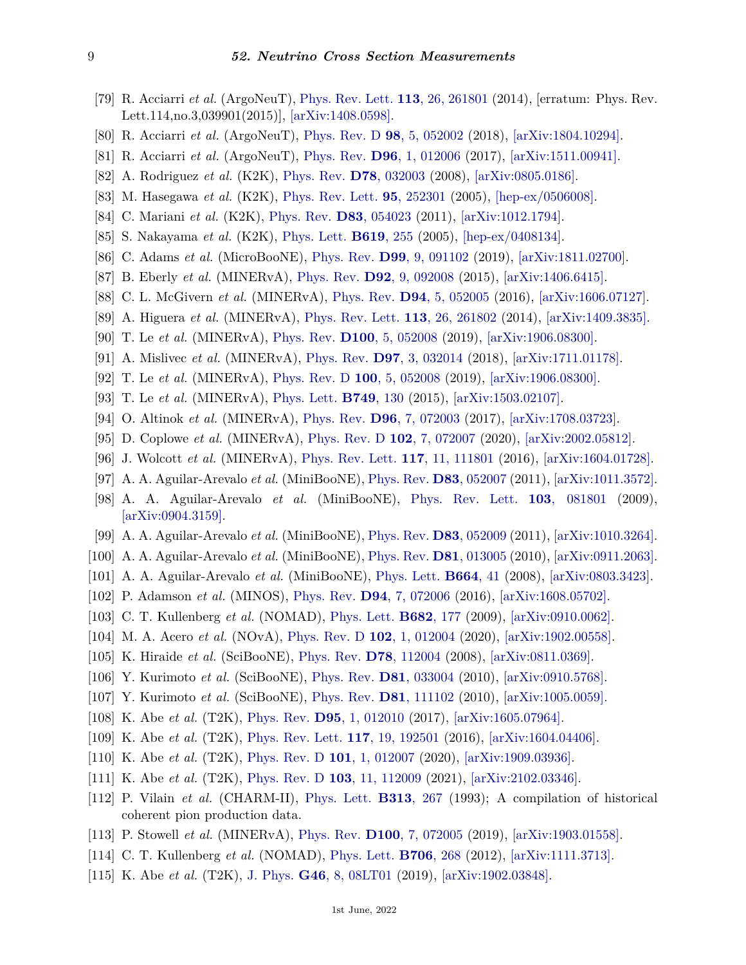- <span id="page-8-0"></span>[79] R. Acciarri *et al.* (ArgoNeuT), [Phys. Rev. Lett.](http://doi.org/10.1103/PhysRevLett.113.261801) **113**[, 26, 261801](http://doi.org/10.1103/PhysRevLett.113.261801) (2014), [erratum: Phys. Rev. Lett.114,no.3,039901(2015)], [\[arXiv:1408.0598\].](https://arxiv.org/abs/1408.0598)
- <span id="page-8-1"></span>[80] R. Acciarri *et al.* (ArgoNeuT), [Phys. Rev. D](http://doi.org/10.1103/PhysRevD.98.052002) **98**[, 5, 052002](http://doi.org/10.1103/PhysRevD.98.052002) (2018), [\[arXiv:1804.10294\].](https://arxiv.org/abs/1804.10294)
- <span id="page-8-2"></span>[81] R. Acciarri *et al.* (ArgoNeuT), [Phys. Rev.](http://doi.org/10.1103/PhysRevD.96.012006) **D96**[, 1, 012006](http://doi.org/10.1103/PhysRevD.96.012006) (2017), [\[arXiv:1511.00941\].](https://arxiv.org/abs/1511.00941)
- <span id="page-8-3"></span>[82] A. Rodriguez *et al.* (K2K), [Phys. Rev.](http://doi.org/10.1103/PhysRevD.78.032003) **D78**[, 032003](http://doi.org/10.1103/PhysRevD.78.032003) (2008), [\[arXiv:0805.0186\].](https://arxiv.org/abs/0805.0186)
- <span id="page-8-4"></span>[83] M. Hasegawa *et al.* (K2K), [Phys. Rev. Lett.](http://doi.org/10.1103/PhysRevLett.95.252301) **95**[, 252301](http://doi.org/10.1103/PhysRevLett.95.252301) (2005), [\[hep-ex/0506008\].](https://arxiv.org/abs/hep-ex/0506008)
- <span id="page-8-5"></span>[84] C. Mariani *et al.* (K2K), [Phys. Rev.](http://doi.org/10.1103/PhysRevD.83.054023) **D83**[, 054023](http://doi.org/10.1103/PhysRevD.83.054023) (2011), [\[arXiv:1012.1794\].](https://arxiv.org/abs/1012.1794)
- <span id="page-8-6"></span>[85] S. Nakayama *et al.* (K2K), [Phys. Lett.](http://doi.org/10.1016/j.physletb.2005.05.044) **[B619](http://doi.org/10.1016/j.physletb.2005.05.044)**, 255 (2005), [\[hep-ex/0408134\].](https://arxiv.org/abs/hep-ex/0408134)
- <span id="page-8-7"></span>[86] C. Adams *et al.* (MicroBooNE), [Phys. Rev.](http://doi.org/10.1103/PhysRevD.99.091102) **D99**[, 9, 091102](http://doi.org/10.1103/PhysRevD.99.091102) (2019), [\[arXiv:1811.02700\].](https://arxiv.org/abs/1811.02700)
- <span id="page-8-8"></span>[87] B. Eberly *et al.* (MINERvA), [Phys. Rev.](http://doi.org/10.1103/PhysRevD.92.092008) **D92**[, 9, 092008](http://doi.org/10.1103/PhysRevD.92.092008) (2015), [\[arXiv:1406.6415\].](https://arxiv.org/abs/1406.6415)
- <span id="page-8-10"></span>[88] C. L. McGivern *et al.* (MINERvA), [Phys. Rev.](http://doi.org/10.1103/PhysRevD.94.052005) **D94**[, 5, 052005](http://doi.org/10.1103/PhysRevD.94.052005) (2016), [\[arXiv:1606.07127\].](https://arxiv.org/abs/1606.07127)
- <span id="page-8-28"></span>[89] A. Higuera *et al.* (MINERvA), [Phys. Rev. Lett.](http://doi.org/10.1103/PhysRevLett.113.261802) **113**[, 26, 261802](http://doi.org/10.1103/PhysRevLett.113.261802) (2014), [\[arXiv:1409.3835\].](https://arxiv.org/abs/1409.3835)
- <span id="page-8-31"></span>[90] T. Le *et al.* (MINERvA), [Phys. Rev.](http://doi.org/10.1103/PhysRevD.100.052008) **D100**[, 5, 052008](http://doi.org/10.1103/PhysRevD.100.052008) (2019), [\[arXiv:1906.08300\].](https://arxiv.org/abs/1906.08300)
- <span id="page-8-29"></span>[91] A. Mislivec *et al.* (MINERvA), [Phys. Rev.](http://doi.org/10.1103/PhysRevD.97.032014) **D97**[, 3, 032014](http://doi.org/10.1103/PhysRevD.97.032014) (2018), [\[arXiv:1711.01178\].](https://arxiv.org/abs/1711.01178)
- <span id="page-8-9"></span>[92] T. Le *et al.* (MINERvA), [Phys. Rev. D](http://doi.org/10.1103/PhysRevD.100.052008) **100**[, 5, 052008](http://doi.org/10.1103/PhysRevD.100.052008) (2019), [\[arXiv:1906.08300\].](https://arxiv.org/abs/1906.08300)
- <span id="page-8-11"></span>[93] T. Le *et al.* (MINERvA), [Phys. Lett.](http://doi.org/10.1016/j.physletb.2015.07.039) **[B749](http://doi.org/10.1016/j.physletb.2015.07.039)**, 130 (2015), [\[arXiv:1503.02107\].](https://arxiv.org/abs/1503.02107)
- <span id="page-8-32"></span>[94] O. Altinok *et al.* (MINERvA), [Phys. Rev.](http://doi.org/10.1103/PhysRevD.96.072003) **D96**[, 7, 072003](http://doi.org/10.1103/PhysRevD.96.072003) (2017), [\[arXiv:1708.03723\].](https://arxiv.org/abs/1708.03723)
- <span id="page-8-12"></span>[95] D. Coplowe *et al.* (MINERvA), [Phys. Rev. D](http://doi.org/10.1103/PhysRevD.102.072007) **102**[, 7, 072007](http://doi.org/10.1103/PhysRevD.102.072007) (2020), [\[arXiv:2002.05812\].](https://arxiv.org/abs/2002.05812)
- <span id="page-8-13"></span>[96] J. Wolcott *et al.* (MINERvA), [Phys. Rev. Lett.](http://doi.org/10.1103/PhysRevLett.117.111801) **117**[, 11, 111801](http://doi.org/10.1103/PhysRevLett.117.111801) (2016), [\[arXiv:1604.01728\].](https://arxiv.org/abs/1604.01728)
- <span id="page-8-14"></span>[97] A. A. Aguilar-Arevalo *et al.* (MiniBooNE), [Phys. Rev.](http://doi.org/10.1103/PhysRevD.83.052007) **D83**[, 052007](http://doi.org/10.1103/PhysRevD.83.052007) (2011), [\[arXiv:1011.3572\].](https://arxiv.org/abs/1011.3572)
- <span id="page-8-15"></span>[98] A. A. Aguilar-Arevalo *et al.* (MiniBooNE), [Phys. Rev. Lett.](http://doi.org/10.1103/PhysRevLett.103.081801) **103**[, 081801](http://doi.org/10.1103/PhysRevLett.103.081801) (2009), [\[arXiv:0904.3159\].](https://arxiv.org/abs/0904.3159)
- <span id="page-8-16"></span>[99] A. A. Aguilar-Arevalo *et al.* (MiniBooNE), [Phys. Rev.](http://doi.org/10.1103/PhysRevD.83.052009) **D83**[, 052009](http://doi.org/10.1103/PhysRevD.83.052009) (2011), [\[arXiv:1010.3264\].](https://arxiv.org/abs/1010.3264)
- <span id="page-8-17"></span>[100] A. A. Aguilar-Arevalo *et al.* (MiniBooNE), [Phys. Rev.](http://doi.org/10.1103/PhysRevD.81.013005) **D81**[, 013005](http://doi.org/10.1103/PhysRevD.81.013005) (2010), [\[arXiv:0911.2063\].](https://arxiv.org/abs/0911.2063)
- <span id="page-8-18"></span>[101] A. A. Aguilar-Arevalo *et al.* (MiniBooNE), [Phys. Lett.](http://doi.org/10.1016/j.physletb.2008.05.006) **[B664](http://doi.org/10.1016/j.physletb.2008.05.006)**, 41 (2008), [\[arXiv:0803.3423\].](https://arxiv.org/abs/0803.3423)
- <span id="page-8-19"></span>[102] P. Adamson *et al.* (MINOS), [Phys. Rev.](http://doi.org/10.1103/PhysRevD.94.072006) **D94**[, 7, 072006](http://doi.org/10.1103/PhysRevD.94.072006) (2016), [\[arXiv:1608.05702\].](https://arxiv.org/abs/1608.05702)
- <span id="page-8-20"></span>[103] C. T. Kullenberg *et al.* (NOMAD), [Phys. Lett.](http://doi.org/10.1016/j.physletb.2009.10.083) **[B682](http://doi.org/10.1016/j.physletb.2009.10.083)**, 177 (2009), [\[arXiv:0910.0062\].](https://arxiv.org/abs/0910.0062)
- <span id="page-8-21"></span>[104] M. A. Acero *et al.* (NOvA), [Phys. Rev. D](http://doi.org/10.1103/PhysRevD.102.012004) **102**[, 1, 012004](http://doi.org/10.1103/PhysRevD.102.012004) (2020), [\[arXiv:1902.00558\].](https://arxiv.org/abs/1902.00558)
- <span id="page-8-22"></span>[105] K. Hiraide *et al.* (SciBooNE), [Phys. Rev.](http://doi.org/10.1103/PhysRevD.78.112004) **D78**[, 112004](http://doi.org/10.1103/PhysRevD.78.112004) (2008), [\[arXiv:0811.0369\].](https://arxiv.org/abs/0811.0369)
- <span id="page-8-23"></span>[106] Y. Kurimoto *et al.* (SciBooNE), [Phys. Rev.](http://doi.org/10.1103/PhysRevD.81.033004) **D81**[, 033004](http://doi.org/10.1103/PhysRevD.81.033004) (2010), [\[arXiv:0910.5768\].](https://arxiv.org/abs/0910.5768)
- <span id="page-8-24"></span>[107] Y. Kurimoto *et al.* (SciBooNE), [Phys. Rev.](http://doi.org/10.1103/PhysRevD.81.111102) **D81**[, 111102](http://doi.org/10.1103/PhysRevD.81.111102) (2010), [\[arXiv:1005.0059\].](https://arxiv.org/abs/1005.0059)
- <span id="page-8-25"></span>[108] K. Abe *et al.* (T2K), [Phys. Rev.](http://doi.org/10.1103/PhysRevD.95.012010) **D95**[, 1, 012010](http://doi.org/10.1103/PhysRevD.95.012010) (2017), [\[arXiv:1605.07964\].](https://arxiv.org/abs/1605.07964)
- [109] K. Abe *et al.* (T2K), [Phys. Rev. Lett.](http://doi.org/10.1103/PhysRevLett.117.192501) **117**[, 19, 192501](http://doi.org/10.1103/PhysRevLett.117.192501) (2016), [\[arXiv:1604.04406\].](https://arxiv.org/abs/1604.04406)
- <span id="page-8-30"></span>[110] K. Abe *et al.* (T2K), [Phys. Rev. D](http://doi.org/10.1103/PhysRevD.101.012007) **101**[, 1, 012007](http://doi.org/10.1103/PhysRevD.101.012007) (2020), [\[arXiv:1909.03936\].](https://arxiv.org/abs/1909.03936)
- <span id="page-8-26"></span>[111] K. Abe *et al.* (T2K), [Phys. Rev. D](http://doi.org/10.1103/PhysRevD.103.112009) **103**[, 11, 112009](http://doi.org/10.1103/PhysRevD.103.112009) (2021), [\[arXiv:2102.03346\].](https://arxiv.org/abs/2102.03346)
- <span id="page-8-27"></span>[112] P. Vilain *et al.* (CHARM-II), [Phys. Lett.](http://doi.org/10.1016/0370-2693(93)91223-A) **[B313](http://doi.org/10.1016/0370-2693(93)91223-A)**, 267 (1993); A compilation of historical coherent pion production data.
- <span id="page-8-33"></span>[113] P. Stowell *et al.* (MINERvA), [Phys. Rev.](http://doi.org/10.1103/PhysRevD.100.072005) **D100**[, 7, 072005](http://doi.org/10.1103/PhysRevD.100.072005) (2019), [\[arXiv:1903.01558\].](https://arxiv.org/abs/1903.01558)
- <span id="page-8-34"></span>[114] C. T. Kullenberg *et al.* (NOMAD), [Phys. Lett.](http://doi.org/10.1016/j.physletb.2011.11.049) **[B706](http://doi.org/10.1016/j.physletb.2011.11.049)**, 268 (2012), [\[arXiv:1111.3713\].](https://arxiv.org/abs/1111.3713)
- <span id="page-8-35"></span>[115] K. Abe *et al.* (T2K), [J. Phys.](http://doi.org/10.1088/1361-6471/ab227d) **G46**[, 8, 08LT01](http://doi.org/10.1088/1361-6471/ab227d) (2019), [\[arXiv:1902.03848\].](https://arxiv.org/abs/1902.03848)